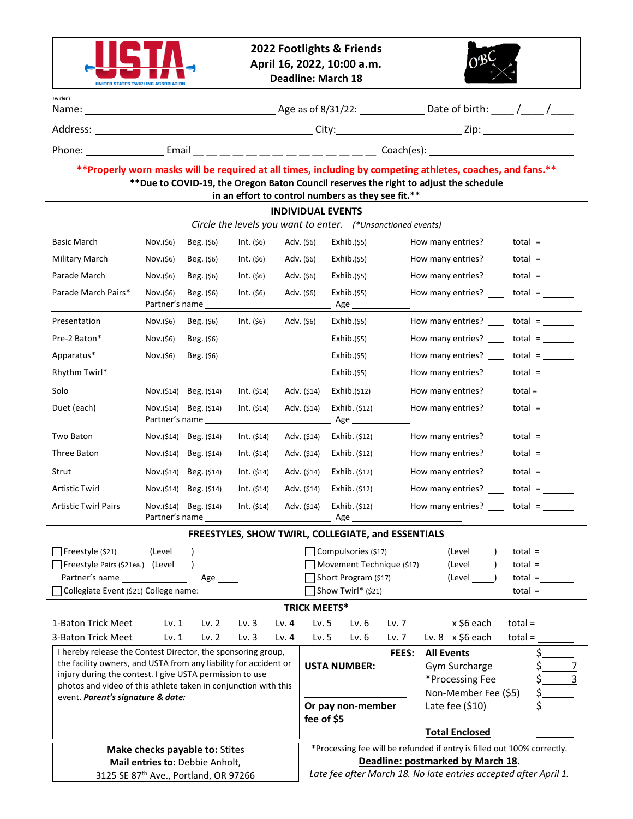

**2022 Footlights & Friends April 16, 2022, 10:00 a.m. Deadline: March 18**



| Twirler's<br>Name: | Age as of 8/31/22: | Date of birth: |  |
|--------------------|--------------------|----------------|--|
| Address:           | Citv:              | Zip:           |  |

Phone: Email \_\_ \_\_ \_\_ \_\_ \_\_ \_\_ \_\_ \_\_ \_\_ \_\_ \_\_ \_\_ \_\_ \_\_ Coach(es):

#### **\*\*Properly worn masks will be required at all times, including by competing athletes, coaches, and fans.\*\* \*\*Due to COVID-19, the Oregon Baton Council reserves the right to adjust the schedule in an effort to control numbers as they see fit.\*\***

| in an enort to control numbers as they see nt.<br><b>INDIVIDUAL EVENTS</b>                                                                                                                                                                                                                                                                                |                             |                                        |                              |                                                                                                              |                                                                              |                                                                                                       |                |                                                                               |                                                           |                                                                                                                                                                                                                                                                                                                                                                                                                   |           |                                     |  |
|-----------------------------------------------------------------------------------------------------------------------------------------------------------------------------------------------------------------------------------------------------------------------------------------------------------------------------------------------------------|-----------------------------|----------------------------------------|------------------------------|--------------------------------------------------------------------------------------------------------------|------------------------------------------------------------------------------|-------------------------------------------------------------------------------------------------------|----------------|-------------------------------------------------------------------------------|-----------------------------------------------------------|-------------------------------------------------------------------------------------------------------------------------------------------------------------------------------------------------------------------------------------------------------------------------------------------------------------------------------------------------------------------------------------------------------------------|-----------|-------------------------------------|--|
| Circle the levels you want to enter. (*Unsanctioned events)                                                                                                                                                                                                                                                                                               |                             |                                        |                              |                                                                                                              |                                                                              |                                                                                                       |                |                                                                               |                                                           |                                                                                                                                                                                                                                                                                                                                                                                                                   |           |                                     |  |
| Basic March                                                                                                                                                                                                                                                                                                                                               | Nov.(\$6)                   | Beg. (\$6)                             | Int. (56)                    |                                                                                                              | Adv. (\$6)                                                                   | Exhib.(55)                                                                                            |                |                                                                               |                                                           | How many entries? $\qquad$ total = $\qquad$                                                                                                                                                                                                                                                                                                                                                                       |           |                                     |  |
| Military March                                                                                                                                                                                                                                                                                                                                            | Nov.(56)                    | Beg. (\$6)                             | Int. (56)<br>Adv. (\$6)      |                                                                                                              | Exhib.(55)                                                                   |                                                                                                       |                | How many entries? ____                                                        |                                                           |                                                                                                                                                                                                                                                                                                                                                                                                                   |           |                                     |  |
| Parade March                                                                                                                                                                                                                                                                                                                                              | Nov.(\$6)                   | Beg. (\$6)                             | $Int.$ (\$6)                 |                                                                                                              | Adv. (\$6)                                                                   | Exhib.(55)                                                                                            |                |                                                                               |                                                           | How many entries? ____                                                                                                                                                                                                                                                                                                                                                                                            |           | total =                             |  |
| Parade March Pairs*                                                                                                                                                                                                                                                                                                                                       | Nov.(\$6)<br>Partner's name | Beg. (\$6)                             | $Int.$ (\$6)<br>Adv. (\$6)   |                                                                                                              | Exhib.(55)<br>Age $\_$                                                       |                                                                                                       |                |                                                                               | How many entries? ____                                    |                                                                                                                                                                                                                                                                                                                                                                                                                   | total =   |                                     |  |
| Presentation                                                                                                                                                                                                                                                                                                                                              | Nov.(\$6)                   | Beg. $(56)$                            | $Int.$ (\$6)                 | Adv. (\$6)                                                                                                   |                                                                              | Exhib.(55)                                                                                            |                |                                                                               |                                                           | How many entries? $\frac{\ }{\ }$ total = $\frac{\ }{\ }$                                                                                                                                                                                                                                                                                                                                                         |           |                                     |  |
| Pre-2 Baton*                                                                                                                                                                                                                                                                                                                                              | Nov.(56)                    | Beg. (\$6)                             |                              |                                                                                                              |                                                                              | Exhib.(55)                                                                                            |                |                                                                               |                                                           | How many entries?                                                                                                                                                                                                                                                                                                                                                                                                 |           | $total =$                           |  |
| Apparatus*                                                                                                                                                                                                                                                                                                                                                | Nov.(\$6)                   | Beg. (\$6)                             |                              |                                                                                                              |                                                                              | Exhib.(55)                                                                                            |                |                                                                               |                                                           | How many entries? ___                                                                                                                                                                                                                                                                                                                                                                                             |           | $total =$                           |  |
| Rhythm Twirl*                                                                                                                                                                                                                                                                                                                                             |                             |                                        |                              |                                                                                                              |                                                                              | Exhib.(55)                                                                                            |                |                                                                               |                                                           | How many entries? $\frac{\ }{\ }$ total = $\frac{\ }{\ }$                                                                                                                                                                                                                                                                                                                                                         |           |                                     |  |
| Solo                                                                                                                                                                                                                                                                                                                                                      |                             | Nov.(\$14) Beg. (\$14)                 | Int. (514)                   |                                                                                                              | Adv. (\$14)                                                                  | Exhib.(§12)                                                                                           |                |                                                                               |                                                           | How many entries? _____ total = _______                                                                                                                                                                                                                                                                                                                                                                           |           |                                     |  |
| Duet (each)                                                                                                                                                                                                                                                                                                                                               | Nov.(\$14)                  | Beg. (\$14)<br>Partner's name          | Int. (514)<br>Adv. (\$14)    |                                                                                                              | Exhib. $(512)$<br>Age ____________                                           |                                                                                                       |                | How many entries? $\rule{1em}{0.15mm}$ total = $\rule{1.15mm}{}$              |                                                           |                                                                                                                                                                                                                                                                                                                                                                                                                   |           |                                     |  |
| Two Baton                                                                                                                                                                                                                                                                                                                                                 | Nov.(\$14)                  | Beg. (\$14)                            | Int. (§14)<br>Adv. (\$14)    |                                                                                                              | Exhib. (\$12)                                                                |                                                                                                       |                |                                                                               | How many entries? $\frac{\ }{\ }$ total = $\frac{\ }{\ }$ |                                                                                                                                                                                                                                                                                                                                                                                                                   |           |                                     |  |
| Three Baton                                                                                                                                                                                                                                                                                                                                               |                             | Nov.(\$14) Beg. (\$14)                 | Int. (514)                   | Adv. (\$14)                                                                                                  |                                                                              |                                                                                                       | Exhib. $(512)$ |                                                                               |                                                           | How many entries? $\frac{1}{\sqrt{1-\frac{1}{\sqrt{1-\frac{1}{\sqrt{1-\frac{1}{\sqrt{1-\frac{1}{\sqrt{1-\frac{1}{\sqrt{1-\frac{1}{\sqrt{1-\frac{1}{\sqrt{1-\frac{1}{\sqrt{1-\frac{1}{\sqrt{1-\frac{1}{\sqrt{1-\frac{1}{\sqrt{1-\frac{1}{\sqrt{1-\frac{1}{\sqrt{1-\frac{1}{\sqrt{1-\frac{1}{\sqrt{1-\frac{1}{\sqrt{1-\frac{1}{\sqrt{1-\frac{1}{\sqrt{1-\frac{1}{\sqrt{1-\frac{1}{\sqrt{1-\frac{1}{\sqrt{1-\frac{1$ |           |                                     |  |
| Strut                                                                                                                                                                                                                                                                                                                                                     |                             | Nov.(\$14) Beg. (\$14)                 | Int. (514)                   | Adv. (\$14)                                                                                                  |                                                                              | Exhib. $(512)$                                                                                        |                |                                                                               |                                                           | How many entries? $\qquad$ total =                                                                                                                                                                                                                                                                                                                                                                                |           |                                     |  |
| Artistic Twirl                                                                                                                                                                                                                                                                                                                                            |                             | Nov.(\$14) Beg. (\$14)                 | Int. (514)                   | Adv. (\$14)                                                                                                  |                                                                              | Exhib. $(512)$                                                                                        |                |                                                                               |                                                           | How many entries?                                                                                                                                                                                                                                                                                                                                                                                                 |           | total =                             |  |
| <b>Artistic Twirl Pairs</b>                                                                                                                                                                                                                                                                                                                               | Nov.(\$14)                  | Beg. (\$14)<br>Partner's name ________ | Int. (514)                   | Adv. (\$14)                                                                                                  |                                                                              | Exhib. (\$12)<br>Age _________                                                                        |                |                                                                               |                                                           | How many entries? $\qquad$ total = $\qquad$                                                                                                                                                                                                                                                                                                                                                                       |           |                                     |  |
| FREESTYLES, SHOW TWIRL, COLLEGIATE, and ESSENTIALS                                                                                                                                                                                                                                                                                                        |                             |                                        |                              |                                                                                                              |                                                                              |                                                                                                       |                |                                                                               |                                                           |                                                                                                                                                                                                                                                                                                                                                                                                                   |           |                                     |  |
| $\Box$ Freestyle (\$21)<br>Freestyle Pairs (\$21ea.) (Level ___ )<br>Partner's name and the state of the state of the state of the state of the state of the state of the state of the state of the state of the state of the state of the state of the state of the state of the state of the stat<br>Collegiate Event (\$21) College name: ____________ | (Level )                    | $Age$ <sub>______</sub>                |                              |                                                                                                              |                                                                              | Compulsories (\$17)<br>Movement Technique (\$17)<br>Short Program (\$17)<br>$\Box$ Show Twirl* (\$21) |                |                                                                               |                                                           | (Level )<br>(Level)<br>$(Level \_)$                                                                                                                                                                                                                                                                                                                                                                               |           | $total =$<br>$total =$<br>$total =$ |  |
| <b>TRICK MEETS*</b>                                                                                                                                                                                                                                                                                                                                       |                             |                                        |                              |                                                                                                              |                                                                              |                                                                                                       |                |                                                                               |                                                           |                                                                                                                                                                                                                                                                                                                                                                                                                   |           |                                     |  |
| 1-Baton Trick Meet                                                                                                                                                                                                                                                                                                                                        | Lv. 1                       | Lv. $2$                                | Lv. $3$                      | Lv. $4$                                                                                                      | Lv.5                                                                         | Lv. $6$                                                                                               |                | Lv. 7                                                                         |                                                           | x \$6 each                                                                                                                                                                                                                                                                                                                                                                                                        | $total =$ |                                     |  |
| 3-Baton Trick Meet                                                                                                                                                                                                                                                                                                                                        | Lv. 1                       | Lv. 2                                  | Lv.3                         | Lv. 4                                                                                                        | Lv.5                                                                         | Lv.6                                                                                                  |                | Lv. 7                                                                         |                                                           | Lv. $8 \times $6$ each                                                                                                                                                                                                                                                                                                                                                                                            |           | $total =$                           |  |
| I hereby release the Contest Director, the sponsoring group,<br>the facility owners, and USTA from any liability for accident or<br>injury during the contest. I give USTA permission to use<br>photos and video of this athlete taken in conjunction with this<br>event. Parent's signature & date:                                                      |                             |                                        | FEES:<br><b>USTA NUMBER:</b> |                                                                                                              |                                                                              |                                                                                                       |                | <b>All Events</b><br>Gym Surcharge<br>*Processing Fee<br>Non-Member Fee (\$5) |                                                           | \$<br>\$                                                                                                                                                                                                                                                                                                                                                                                                          | 7         |                                     |  |
|                                                                                                                                                                                                                                                                                                                                                           |                             |                                        |                              |                                                                                                              | Or pay non-member<br>Late fee $(510)$<br>fee of \$5<br><b>Total Enclosed</b> |                                                                                                       |                |                                                                               |                                                           |                                                                                                                                                                                                                                                                                                                                                                                                                   |           |                                     |  |
|                                                                                                                                                                                                                                                                                                                                                           |                             |                                        |                              |                                                                                                              |                                                                              |                                                                                                       |                |                                                                               |                                                           |                                                                                                                                                                                                                                                                                                                                                                                                                   |           |                                     |  |
| Make checks payable to: Stites<br>Mail entries to: Debbie Anholt,                                                                                                                                                                                                                                                                                         |                             |                                        |                              | *Processing fee will be refunded if entry is filled out 100% correctly.<br>Deadline: postmarked by March 18. |                                                                              |                                                                                                       |                |                                                                               |                                                           |                                                                                                                                                                                                                                                                                                                                                                                                                   |           |                                     |  |
| 3125 SE 87th Ave., Portland, OR 97266                                                                                                                                                                                                                                                                                                                     |                             |                                        |                              | Late fee after March 18. No late entries accepted after April 1.                                             |                                                                              |                                                                                                       |                |                                                                               |                                                           |                                                                                                                                                                                                                                                                                                                                                                                                                   |           |                                     |  |